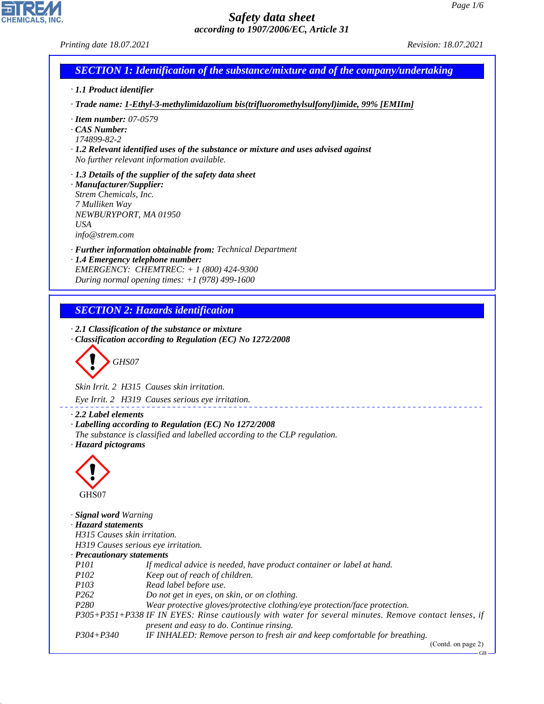CHEMICALS, INC.

44.1.1

| Printing date 18.07.2021                                                                                                     |                                                                                                                                                                                                     | Revision: 18.07.2021 |  |  |  |
|------------------------------------------------------------------------------------------------------------------------------|-----------------------------------------------------------------------------------------------------------------------------------------------------------------------------------------------------|----------------------|--|--|--|
|                                                                                                                              | <b>SECTION 1: Identification of the substance/mixture and of the company/undertaking</b>                                                                                                            |                      |  |  |  |
| · 1.1 Product identifier                                                                                                     |                                                                                                                                                                                                     |                      |  |  |  |
|                                                                                                                              | · Trade name: 1-Ethyl-3-methylimidazolium bis(trifluoromethylsulfonyl)imide, 99% [EMIIm]                                                                                                            |                      |  |  |  |
| $\cdot$ Item number: 07-0579<br>CAS Number:<br>174899-82-2                                                                   | $\cdot$ 1.2 Relevant identified uses of the substance or mixture and uses advised against<br>No further relevant information available.                                                             |                      |  |  |  |
| · Manufacturer/Supplier:<br>Strem Chemicals, Inc.<br>7 Mulliken Way<br>NEWBURYPORT, MA 01950<br><b>USA</b><br>info@strem.com | · 1.3 Details of the supplier of the safety data sheet                                                                                                                                              |                      |  |  |  |
|                                                                                                                              | · Further information obtainable from: Technical Department<br>· 1.4 Emergency telephone number:<br>EMERGENCY: CHEMTREC: $+ 1 (800) 424 - 9300$<br>During normal opening times: $+1$ (978) 499-1600 |                      |  |  |  |
|                                                                                                                              |                                                                                                                                                                                                     |                      |  |  |  |
|                                                                                                                              | <b>SECTION 2: Hazards identification</b>                                                                                                                                                            |                      |  |  |  |
| GHS07                                                                                                                        | $\cdot$ 2.1 Classification of the substance or mixture<br>· Classification according to Regulation (EC) No 1272/2008                                                                                |                      |  |  |  |
|                                                                                                                              |                                                                                                                                                                                                     |                      |  |  |  |
|                                                                                                                              | Skin Irrit. 2 H315 Causes skin irritation.                                                                                                                                                          |                      |  |  |  |
|                                                                                                                              | Eye Irrit. 2 H319 Causes serious eye irritation.                                                                                                                                                    |                      |  |  |  |
| $\cdot$ 2.2 Label elements<br>· Hazard pictograms                                                                            | · Labelling according to Regulation (EC) No 1272/2008<br>The substance is classified and labelled according to the CLP regulation.                                                                  |                      |  |  |  |
| GHS07                                                                                                                        |                                                                                                                                                                                                     |                      |  |  |  |
| · Signal word Warning<br>· Hazard statements<br>H315 Causes skin irritation.                                                 | H319 Causes serious eye irritation.                                                                                                                                                                 |                      |  |  |  |
| · Precautionary statements                                                                                                   |                                                                                                                                                                                                     |                      |  |  |  |
| <i>P101</i><br>P102                                                                                                          | If medical advice is needed, have product container or label at hand.<br>Keep out of reach of children.                                                                                             |                      |  |  |  |
| P103                                                                                                                         | Read label before use.                                                                                                                                                                              |                      |  |  |  |
| P <sub>262</sub>                                                                                                             | Do not get in eyes, on skin, or on clothing.                                                                                                                                                        |                      |  |  |  |
| P <sub>280</sub>                                                                                                             | Wear protective gloves/protective clothing/eye protection/face protection.                                                                                                                          |                      |  |  |  |
|                                                                                                                              | P305+P351+P338 IF IN EYES: Rinse cautiously with water for several minutes. Remove contact lenses, if                                                                                               |                      |  |  |  |
| $P304 + P340$                                                                                                                | present and easy to do. Continue rinsing.<br>IF INHALED: Remove person to fresh air and keep comfortable for breathing.                                                                             |                      |  |  |  |

(Contd. on page 2)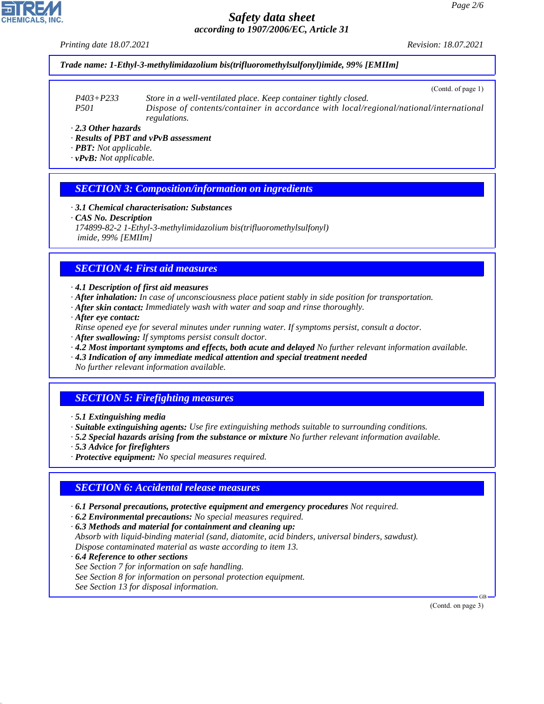*Printing date 18.07.2021 Revision: 18.07.2021*

#### *Trade name: 1-Ethyl-3-methylimidazolium bis(trifluoromethylsulfonyl)imide, 99% [EMIIm]*

(Contd. of page 1)

*P403+P233 Store in a well-ventilated place. Keep container tightly closed. P501 Dispose of contents/container in accordance with local/regional/national/international regulations.*

*· 2.3 Other hazards*

- *· Results of PBT and vPvB assessment*
- *· PBT: Not applicable.*
- *· vPvB: Not applicable.*

#### *SECTION 3: Composition/information on ingredients*

- *· 3.1 Chemical characterisation: Substances*
- *· CAS No. Description*
- *174899-82-2 1-Ethyl-3-methylimidazolium bis(trifluoromethylsulfonyl) imide, 99% [EMIIm]*

### *SECTION 4: First aid measures*

*· 4.1 Description of first aid measures*

- *· After inhalation: In case of unconsciousness place patient stably in side position for transportation.*
- *· After skin contact: Immediately wash with water and soap and rinse thoroughly.*
- *· After eye contact:*

*Rinse opened eye for several minutes under running water. If symptoms persist, consult a doctor.*

- *· After swallowing: If symptoms persist consult doctor.*
- *· 4.2 Most important symptoms and effects, both acute and delayed No further relevant information available.*
- *· 4.3 Indication of any immediate medical attention and special treatment needed No further relevant information available.*

## *SECTION 5: Firefighting measures*

- *· 5.1 Extinguishing media*
- *· Suitable extinguishing agents: Use fire extinguishing methods suitable to surrounding conditions.*
- *· 5.2 Special hazards arising from the substance or mixture No further relevant information available.*
- *· 5.3 Advice for firefighters*
- *· Protective equipment: No special measures required.*

#### *SECTION 6: Accidental release measures*

- *· 6.1 Personal precautions, protective equipment and emergency procedures Not required.*
- *· 6.2 Environmental precautions: No special measures required.*
- *· 6.3 Methods and material for containment and cleaning up:*
- *Absorb with liquid-binding material (sand, diatomite, acid binders, universal binders, sawdust). Dispose contaminated material as waste according to item 13.*
- *· 6.4 Reference to other sections See Section 7 for information on safe handling. See Section 8 for information on personal protection equipment. See Section 13 for disposal information.*

(Contd. on page 3)

GB



44.1.1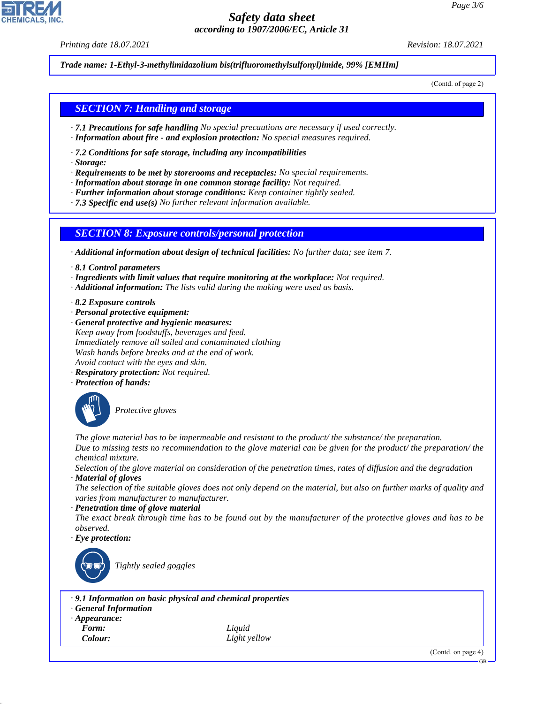*Printing date 18.07.2021 Revision: 18.07.2021*

*Trade name: 1-Ethyl-3-methylimidazolium bis(trifluoromethylsulfonyl)imide, 99% [EMIIm]*

(Contd. of page 2)

#### *SECTION 7: Handling and storage*

- *· 7.1 Precautions for safe handling No special precautions are necessary if used correctly.*
- *· Information about fire and explosion protection: No special measures required.*
- *· 7.2 Conditions for safe storage, including any incompatibilities*
- *· Storage:*
- *· Requirements to be met by storerooms and receptacles: No special requirements.*
- *· Information about storage in one common storage facility: Not required.*
- *· Further information about storage conditions: Keep container tightly sealed.*

*· 7.3 Specific end use(s) No further relevant information available.*

#### *SECTION 8: Exposure controls/personal protection*

*· Additional information about design of technical facilities: No further data; see item 7.*

- *· 8.1 Control parameters*
- *· Ingredients with limit values that require monitoring at the workplace: Not required.*
- *· Additional information: The lists valid during the making were used as basis.*
- *· 8.2 Exposure controls*
- *· Personal protective equipment:*
- *· General protective and hygienic measures: Keep away from foodstuffs, beverages and feed. Immediately remove all soiled and contaminated clothing Wash hands before breaks and at the end of work. Avoid contact with the eyes and skin.*
- *· Respiratory protection: Not required.*
- *· Protection of hands:*



\_S*Protective gloves*

*The glove material has to be impermeable and resistant to the product/ the substance/ the preparation. Due to missing tests no recommendation to the glove material can be given for the product/ the preparation/ the chemical mixture.*

*Selection of the glove material on consideration of the penetration times, rates of diffusion and the degradation · Material of gloves*

*The selection of the suitable gloves does not only depend on the material, but also on further marks of quality and varies from manufacturer to manufacturer.*

#### *· Penetration time of glove material*

*The exact break through time has to be found out by the manufacturer of the protective gloves and has to be observed.*

*· Eye protection:*



\_R*Tightly sealed goggles*

- *· 9.1 Information on basic physical and chemical properties*
- *· General Information*
- *· Appearance:*
- 

44.1.1

*Form: Liquid Colour: Light yellow*

(Contd. on page 4)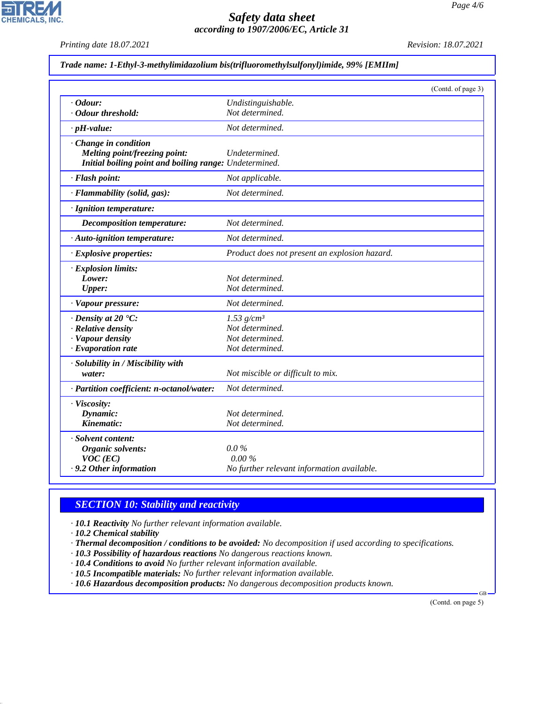*Printing date 18.07.2021 Revision: 18.07.2021*

**CHEMICALS, INC.** 

|  |  | Trade name: 1-Ethyl-3-methylimidazolium bis(trifluoromethylsulfonyl)imide, 99% [EMIIm] |
|--|--|----------------------------------------------------------------------------------------|
|  |  |                                                                                        |

|                                                        |                                               | (Contd. of page 3) |
|--------------------------------------------------------|-----------------------------------------------|--------------------|
| $\cdot$ Odour:                                         | Undistinguishable.                            |                    |
| · Odour threshold:                                     | Not determined.                               |                    |
| $\cdot$ pH-value:                                      | Not determined.                               |                    |
| Change in condition                                    |                                               |                    |
| Melting point/freezing point:                          | Undetermined.                                 |                    |
| Initial boiling point and boiling range: Undetermined. |                                               |                    |
| · Flash point:                                         | Not applicable.                               |                    |
| · Flammability (solid, gas):                           | Not determined.                               |                    |
| · Ignition temperature:                                |                                               |                    |
| <b>Decomposition temperature:</b>                      | Not determined.                               |                    |
| · Auto-ignition temperature:                           | Not determined.                               |                    |
| · Explosive properties:                                | Product does not present an explosion hazard. |                    |
| · Explosion limits:                                    |                                               |                    |
| Lower:                                                 | Not determined.                               |                    |
| <b>Upper:</b>                                          | Not determined.                               |                    |
| · Vapour pressure:                                     | Not determined.                               |                    |
| $\cdot$ Density at 20 $\textdegree$ C:                 | $1.53$ g/cm <sup>3</sup>                      |                    |
| · Relative density                                     | Not determined.                               |                    |
| · Vapour density                                       | Not determined.                               |                    |
| · Evaporation rate                                     | Not determined.                               |                    |
| · Solubility in / Miscibility with                     |                                               |                    |
| water:                                                 | Not miscible or difficult to mix.             |                    |
| · Partition coefficient: n-octanol/water:              | Not determined.                               |                    |
| · Viscosity:                                           |                                               |                    |
| Dynamic:                                               | Not determined.                               |                    |
| Kinematic:                                             | Not determined.                               |                    |
| · Solvent content:                                     |                                               |                    |
| Organic solvents:                                      | $0.0\%$                                       |                    |
| $VOC$ (EC)                                             | 0.00%                                         |                    |
| . 9.2 Other information                                | No further relevant information available.    |                    |

## *SECTION 10: Stability and reactivity*

*· 10.1 Reactivity No further relevant information available.*

*· 10.2 Chemical stability*

44.1.1

*· Thermal decomposition / conditions to be avoided: No decomposition if used according to specifications.*

- *· 10.3 Possibility of hazardous reactions No dangerous reactions known.*
- *· 10.4 Conditions to avoid No further relevant information available.*

*· 10.5 Incompatible materials: No further relevant information available.*

*· 10.6 Hazardous decomposition products: No dangerous decomposition products known.*

(Contd. on page 5)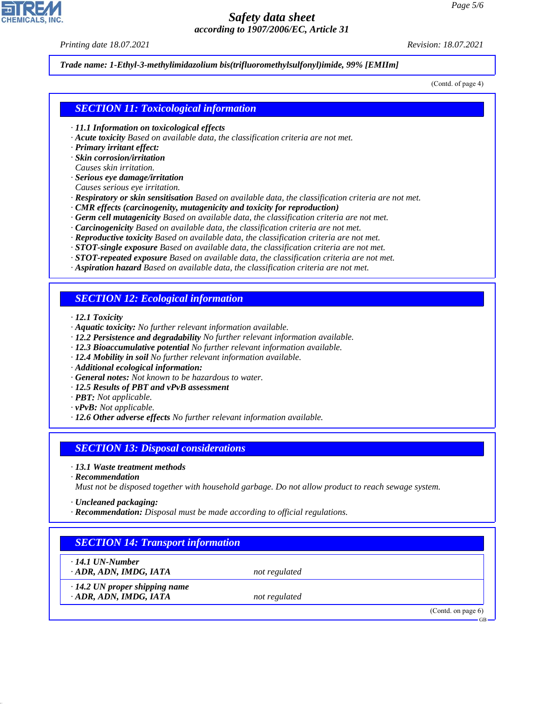*Printing date 18.07.2021 Revision: 18.07.2021*

#### *Trade name: 1-Ethyl-3-methylimidazolium bis(trifluoromethylsulfonyl)imide, 99% [EMIIm]*

(Contd. of page 4)

#### *SECTION 11: Toxicological information*

- *· 11.1 Information on toxicological effects*
- *· Acute toxicity Based on available data, the classification criteria are not met.*
- *· Primary irritant effect:*
- *· Skin corrosion/irritation*
- *Causes skin irritation.*
- *· Serious eye damage/irritation*
- *Causes serious eye irritation.*
- *· Respiratory or skin sensitisation Based on available data, the classification criteria are not met.*
- *· CMR effects (carcinogenity, mutagenicity and toxicity for reproduction)*
- *· Germ cell mutagenicity Based on available data, the classification criteria are not met.*
- *· Carcinogenicity Based on available data, the classification criteria are not met.*
- *· Reproductive toxicity Based on available data, the classification criteria are not met.*
- *· STOT-single exposure Based on available data, the classification criteria are not met.*
- *· STOT-repeated exposure Based on available data, the classification criteria are not met.*
- *· Aspiration hazard Based on available data, the classification criteria are not met.*

#### *SECTION 12: Ecological information*

- *· 12.1 Toxicity*
- *· Aquatic toxicity: No further relevant information available.*
- *· 12.2 Persistence and degradability No further relevant information available.*
- *· 12.3 Bioaccumulative potential No further relevant information available.*
- *· 12.4 Mobility in soil No further relevant information available.*
- *· Additional ecological information:*
- *· General notes: Not known to be hazardous to water.*
- *· 12.5 Results of PBT and vPvB assessment*
- *· PBT: Not applicable.*
- *· vPvB: Not applicable.*
- *· 12.6 Other adverse effects No further relevant information available.*

#### *SECTION 13: Disposal considerations*

- *· 13.1 Waste treatment methods*
- *· Recommendation*

*Must not be disposed together with household garbage. Do not allow product to reach sewage system.*

- *· Uncleaned packaging:*
- *· Recommendation: Disposal must be made according to official regulations.*

## *SECTION 14: Transport information*

*· 14.1 UN-Number*

44.1.1

*· ADR, ADN, IMDG, IATA not regulated*

*· 14.2 UN proper shipping name · ADR, ADN, IMDG, IATA not regulated*

(Contd. on page 6)